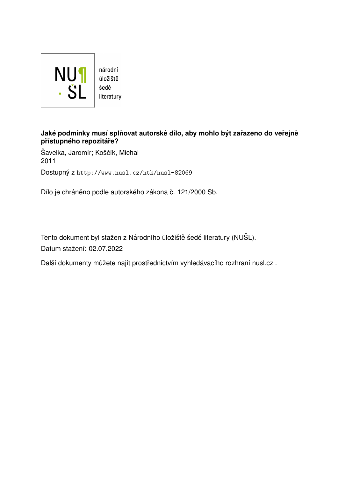

#### **Jaké podmínky musí splňovat autorské dílo, aby mohlo být zařazeno do veřejně**  $\overrightarrow{p}$  repozitáře?

Šavelka, Jaromír; Koščík, Michal 2011 Dostupný z <http://www.nusl.cz/ntk/nusl-82069>

Dílo je chráněno podle autorského zákona č. 121/2000 Sb.

Tento dokument byl stažen z Národního úložiště šedé literatury (NUŠL). Datum stažení: 02.07.2022

Další dokumenty můžete najít prostřednictvím vyhledávacího rozhraní [nusl.cz](http://www.nusl.cz).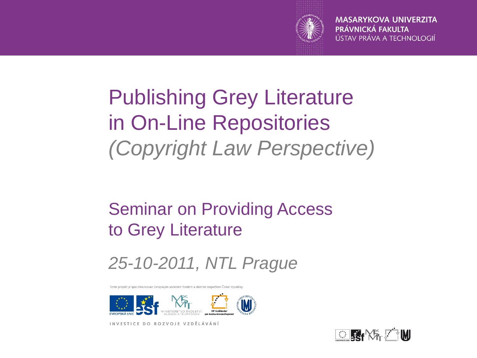

### Publishing Grey Literature in On-Line Repositories *(Copyright Law Perspective)*

#### Seminar on Providing Access to Grey Literature

### *25-10-2011, NTL Prague*

Tento projekt je spolufinancován Evropským sociálním fondem a státním rozpočtem České republiky.



INVESTICE DO ROZVOJE VZDĚLÁVÁNÍ

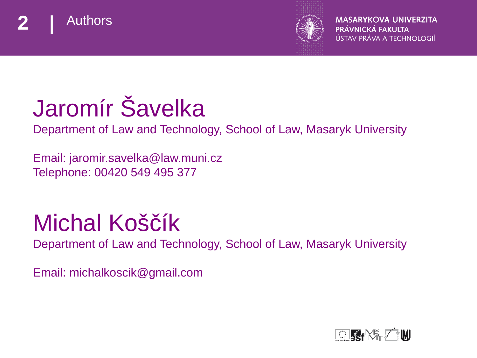



## Jaromír Šavelka

Department of Law and Technology, School of Law, Masaryk University

Email: jaromir.savelka@law.muni.cz Telephone: 00420 549 495 377

### Michal Koščík

Department of Law and Technology, School of Law, Masaryk University

Email: michalkoscik@gmail.com

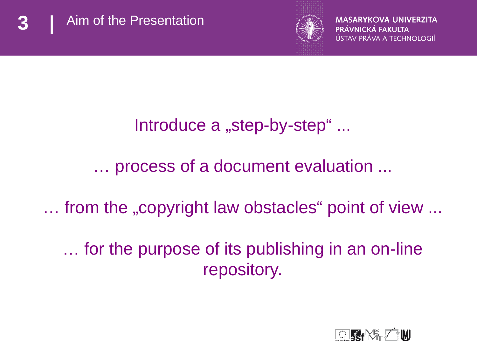



### Introduce a "step-by-step" ...

#### … process of a document evaluation ...

... from the "copyright law obstacles" point of view ...

### … for the purpose of its publishing in an on-line repository.

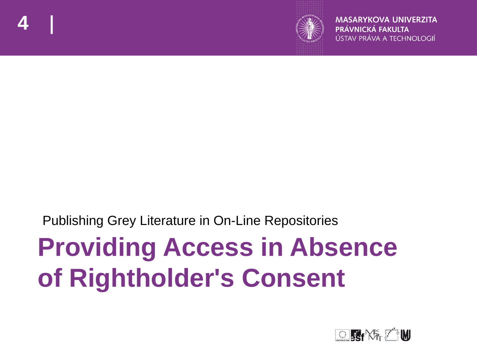

Publishing Grey Literature in On-Line Repositories

## **Providing Access in Absence of Rightholder's Consent**

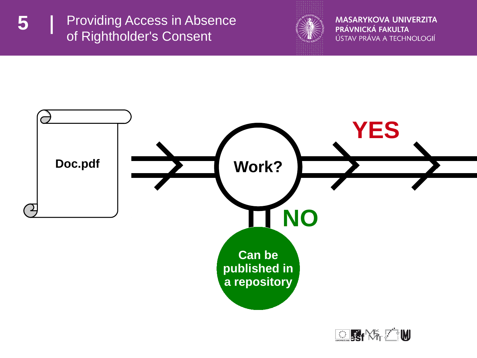





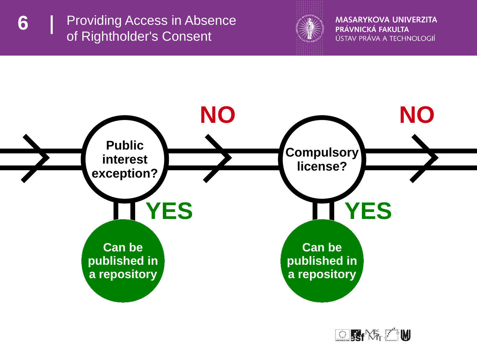





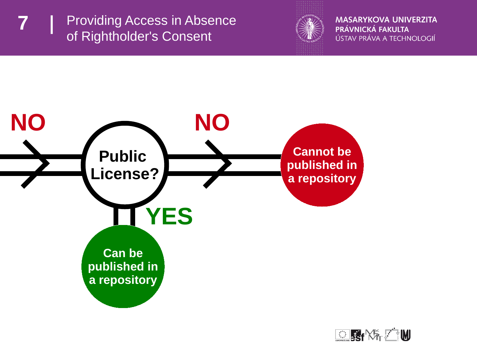





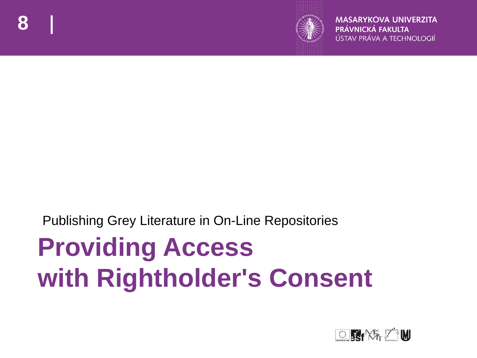

Publishing Grey Literature in On-Line Repositories

# **Providing Access with Rightholder's Consent**

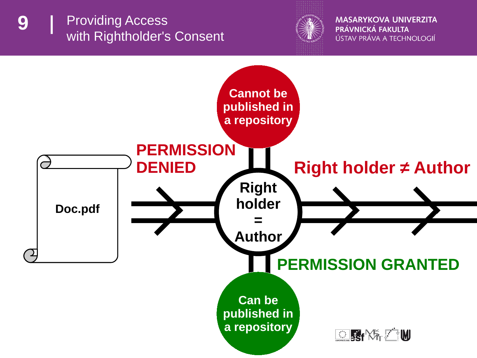



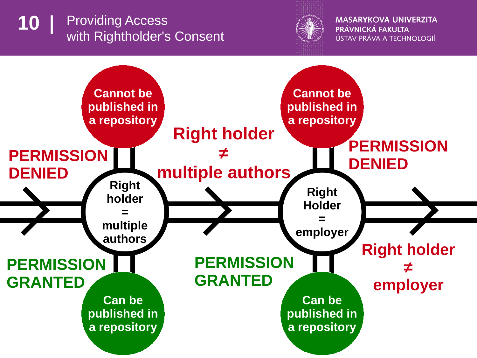#### 10 | Providing Access with Rightholder's Consent



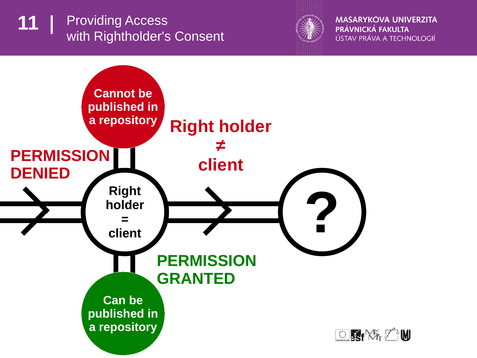